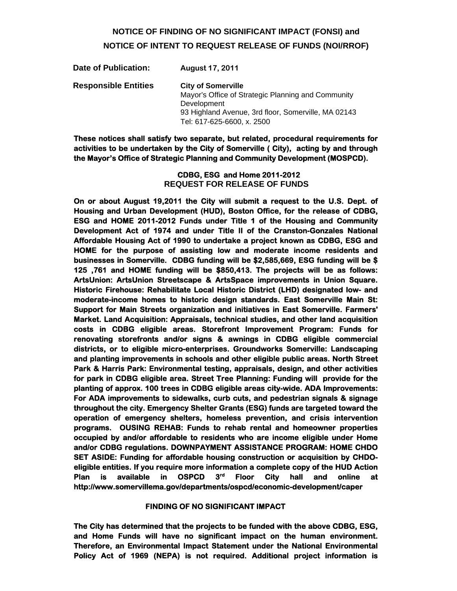# **NOTICE OF FINDING OF NO SIGNIFICANT IMPACT (FONSI) and NOTICE OF INTENT TO REQUEST RELEASE OF FUNDS (NOI/RROF)**

| Date of Publication:        | August 17, 2011                                                                                                                                       |
|-----------------------------|-------------------------------------------------------------------------------------------------------------------------------------------------------|
| <b>Responsible Entities</b> | <b>City of Somerville</b><br>Mayor's Office of Strategic Planning and Community<br>Development<br>93 Highland Avenue, 3rd floor, Somerville, MA 02143 |
|                             |                                                                                                                                                       |
|                             | Tel: 617-625-6600, x. 2500                                                                                                                            |

**These notices shall satisfy two separate, but related, procedural requirements for activities to be undertaken by the City of Somerville ( City), acting by and through the Mayor's Office of Strategic Planning and Community Development (MOSPCD).** 

> **CDBG, ESG and Home 2011-2012 REQUEST FOR RELEASE OF FUNDS**

**On or about August 19,2011 the City will submit a request to the U.S. Dept. of Housing and Urban Development (HUD), Boston Office, for the release of CDBG, ESG and HOME 2011-2012 Funds under Title 1 of the Housing and Community Development Act of 1974 and under Title II of the Cranston-Gonzales National Affordable Housing Act of 1990 to undertake a project known as CDBG, ESG and HOME for the purpose of assisting low and moderate income residents and businesses in Somerville. CDBG funding will be \$2,585,669, ESG funding will be \$ 125 ,761 and HOME funding will be \$850,413. The projects will be as follows: ArtsUnion: ArtsUnion Streetscape & ArtsSpace improvements in Union Square. Historic Firehouse: Rehabilitate Local Historic District (LHD) designated low- and moderate-income homes to historic design standards. East Somerville Main St: Support for Main Streets organization and initiatives in East Somerville. Farmers' Market. Land Acquisition: Appraisals, technical studies, and other land acquisition costs in CDBG eligible areas. Storefront Improvement Program: Funds for renovating storefronts and/or signs & awnings in CDBG eligible commercial districts, or to eligible micro-enterprises. Groundworks Somerville: Landscaping and planting improvements in schools and other eligible public areas. North Street Park & Harris Park: Environmental testing, appraisals, design, and other activities for park in CDBG eligible area. Street Tree Planning: Funding will provide for the planting of approx. 100 trees in CDBG eligible areas city-wide. ADA Improvements:**  For ADA improvements to sidewalks, curb cuts, and pedestrian signals & signage **throughout the city. Emergency Shelter Grants (ESG) funds are targeted toward the operation of emergency shelters, homeless prevention, and crisis intervention programs. OUSING REHAB: Funds to rehab rental and homeowner properties occupied by and/or affordable to residents who are income eligible under Home and/or CDBG regulations. DOWNPAYMENT ASSISTANCE PROGRAM: HOME CHDO SET ASIDE: Funding for affordable housing construction or acquisition by CHDOeligible entities. If you require more information a complete copy of the HUD Action Plan is available in OSPCD 3rd Floor City hall and online at http://www.somervillema.gov/departments/ospcd/economic-development/caper** 

#### **FINDING OF NO SIGNIFICANT IMPACT**

**The City has determined that the projects to be funded with the above CDBG, ESG, and Home Funds will have no significant impact on the human environment. Therefore, an Environmental Impact Statement under the National Environmental Policy Act of 1969 (NEPA) is not required. Additional project information is**